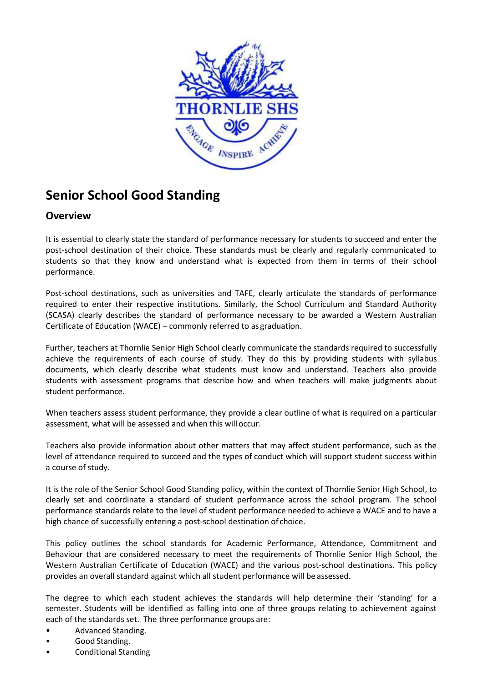

# **Senior School Good Standing**

# **Overview**

It is essential to clearly state the standard of performance necessary for students to succeed and enter the post-school destination of their choice. These standards must be clearly and regularly communicated to students so that they know and understand what is expected from them in terms of their school performance.

Post-school destinations, such as universities and TAFE, clearly articulate the standards of performance required to enter their respective institutions. Similarly, the School Curriculum and Standard Authority (SCASA) clearly describes the standard of performance necessary to be awarded a Western Australian Certificate of Education (WACE) – commonly referred to as graduation.

Further, teachers at Thornlie Senior High School clearly communicate the standards required to successfully achieve the requirements of each course of study. They do this by providing students with syllabus documents, which clearly describe what students must know and understand. Teachers also provide students with assessment programs that describe how and when teachers will make judgments about student performance.

When teachers assess student performance, they provide a clear outline of what is required on a particular assessment, what will be assessed and when this will occur.

Teachers also provide information about other matters that may affect student performance, such as the level of attendance required to succeed and the types of conduct which will support student success within a course of study.

It is the role of the Senior School Good Standing policy, within the context of Thornlie Senior High School, to clearly set and coordinate a standard of student performance across the school program. The school performance standards relate to the level of student performance needed to achieve a WACE and to have a high chance of successfully entering a post-school destination of choice.

This policy outlines the school standards for Academic Performance, Attendance, Commitment and Behaviour that are considered necessary to meet the requirements of Thornlie Senior High School, the Western Australian Certificate of Education (WACE) and the various post-school destinations. This policy provides an overall standard against which all student performance will be assessed.

The degree to which each student achieves the standards will help determine their 'standing' for a semester. Students will be identified as falling into one of three groups relating to achievement against each of the standards set. The three performance groups are:

- Advanced Standing.
- Good Standing.
- Conditional Standing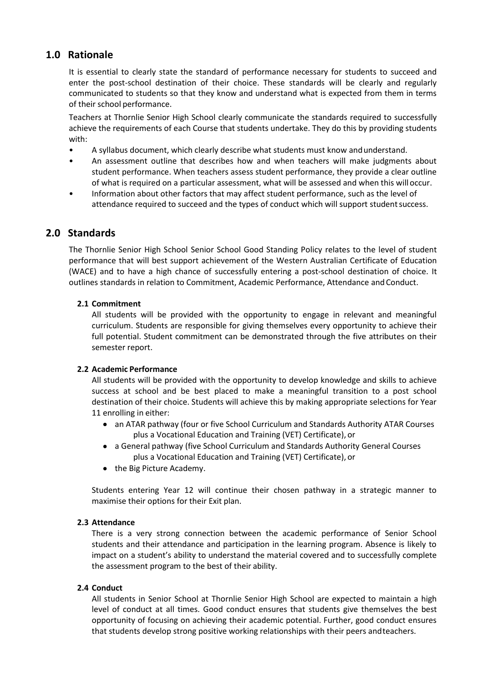# **1.0 Rationale**

It is essential to clearly state the standard of performance necessary for students to succeed and enter the post-school destination of their choice. These standards will be clearly and regularly communicated to students so that they know and understand what is expected from them in terms of their school performance.

Teachers at Thornlie Senior High School clearly communicate the standards required to successfully achieve the requirements of each Course that students undertake. They do this by providing students with:

- A syllabus document, which clearly describe what students must know andunderstand.
- An assessment outline that describes how and when teachers will make judgments about student performance. When teachers assess student performance, they provide a clear outline of what is required on a particular assessment, what will be assessed and when this willoccur.
- Information about other factors that may affect student performance, such as the level of attendance required to succeed and the types of conduct which will support studentsuccess.

# **2.0 Standards**

The Thornlie Senior High School Senior School Good Standing Policy relates to the level of student performance that will best support achievement of the Western Australian Certificate of Education (WACE) and to have a high chance of successfully entering a post-school destination of choice. It outlines standards in relation to Commitment, Academic Performance, Attendance and Conduct.

#### **2.1 Commitment**

All students will be provided with the opportunity to engage in relevant and meaningful curriculum. Students are responsible for giving themselves every opportunity to achieve their full potential. Student commitment can be demonstrated through the five attributes on their semester report.

#### **2.2 Academic Performance**

All students will be provided with the opportunity to develop knowledge and skills to achieve success at school and be best placed to make a meaningful transition to a post school destination of their choice. Students will achieve this by making appropriate selections for Year 11 enrolling in either:

- an ATAR pathway (four or five School Curriculum and Standards Authority ATAR Courses plus a Vocational Education and Training (VET) Certificate), or
- a General pathway (five School Curriculum and Standards Authority General Courses plus a Vocational Education and Training (VET) Certificate), or
- the Big Picture Academy.

Students entering Year 12 will continue their chosen pathway in a strategic manner to maximise their options for their Exit plan.

#### **2.3 Attendance**

There is a very strong connection between the academic performance of Senior School students and their attendance and participation in the learning program. Absence is likely to impact on a student's ability to understand the material covered and to successfully complete the assessment program to the best of their ability.

#### **2.4 Conduct**

All students in Senior School at Thornlie Senior High School are expected to maintain a high level of conduct at all times. Good conduct ensures that students give themselves the best opportunity of focusing on achieving their academic potential. Further, good conduct ensures that students develop strong positive working relationships with their peers andteachers.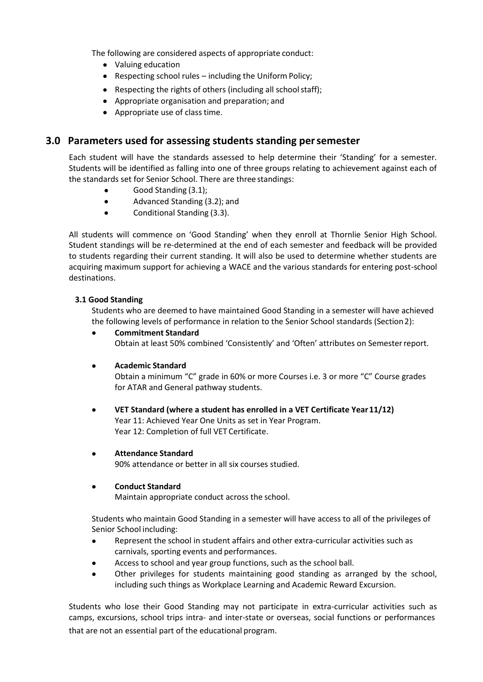The following are considered aspects of appropriate conduct:

- Valuing education
- Respecting school rules including the Uniform Policy;
- Respecting the rights of others (including all school staff);
- Appropriate organisation and preparation; and
- Appropriate use of class time.

## **3.0 Parameters used for assessing students standing persemester**

Each student will have the standards assessed to help determine their 'Standing' for a semester. Students will be identified as falling into one of three groups relating to achievement against each of the standards set for Senior School. There are three standings:

- Good Standing (3.1);
- Advanced Standing (3.2); and
- Conditional Standing (3.3).

All students will commence on 'Good Standing' when they enroll at Thornlie Senior High School. Student standings will be re-determined at the end of each semester and feedback will be provided to students regarding their current standing. It will also be used to determine whether students are acquiring maximum support for achieving a WACE and the various standards for entering post-school destinations.

#### **3.1 Good Standing**

Students who are deemed to have maintained Good Standing in a semester will have achieved the following levels of performance in relation to the Senior School standards (Section2):

 **Commitment Standard** Obtain at least 50% combined 'Consistently' and 'Often' attributes on Semesterreport.

#### **Academic Standard**

Obtain a minimum "C" grade in 60% or more Courses i.e. 3 or more "C" Course grades for ATAR and General pathway students.

- **VET Standard (where a student has enrolled in a VET Certificate Year11/12)** Year 11: Achieved Year One Units as set in Year Program. Year 12: Completion of full VET Certificate.
- **Attendance Standard** 90% attendance or better in all six courses studied.

#### **Conduct Standard**

Maintain appropriate conduct across the school.

Students who maintain Good Standing in a semester will have access to all of the privileges of Senior School including:

- Represent the school in student affairs and other extra-curricular activities such as carnivals, sporting events and performances.
- Access to school and year group functions, such as the school ball.
- Other privileges for students maintaining good standing as arranged by the school, including such things as Workplace Learning and Academic Reward Excursion.

Students who lose their Good Standing may not participate in extra-curricular activities such as camps, excursions, school trips intra- and inter-state or overseas, social functions or performances that are not an essential part of the educational program.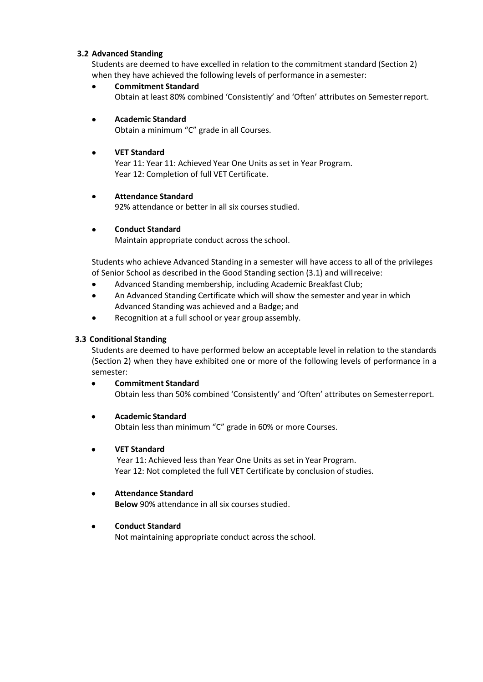#### **3.2 Advanced Standing**

Students are deemed to have excelled in relation to the commitment standard (Section 2) when they have achieved the following levels of performance in a semester:

 **Commitment Standard** Obtain at least 80% combined 'Consistently' and 'Often' attributes on Semesterreport.

## **Academic Standard**

Obtain a minimum "C" grade in all Courses.

## **VET Standard**

Year 11: Year 11: Achieved Year One Units as set in Year Program. Year 12: Completion of full VET Certificate.

#### **Attendance Standard**

92% attendance or better in all six courses studied.

## **Conduct Standard**

Maintain appropriate conduct across the school.

Students who achieve Advanced Standing in a semester will have access to all of the privileges of Senior School as described in the Good Standing section (3.1) and willreceive:

- Advanced Standing membership, including Academic Breakfast Club;
- An Advanced Standing Certificate which will show the semester and year in which Advanced Standing was achieved and a Badge; and
- Recognition at a full school or year group assembly.

### **3.3 Conditional Standing**

Students are deemed to have performed below an acceptable level in relation to the standards (Section 2) when they have exhibited one or more of the following levels of performance in a semester:

 **Commitment Standard** Obtain less than 50% combined 'Consistently' and 'Often' attributes on Semesterreport.

## **Academic Standard**

Obtain less than minimum "C" grade in 60% or more Courses.

## **VET Standard**

Year 11: Achieved less than Year One Units as set in Year Program. Year 12: Not completed the full VET Certificate by conclusion of studies.

## **Attendance Standard**

**Below** 90% attendance in all six courses studied.

## **Conduct Standard**

Not maintaining appropriate conduct across the school.